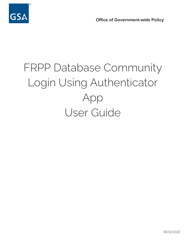



# FRPP Database Community Login Using Authenticator App User Guide

08/10/2020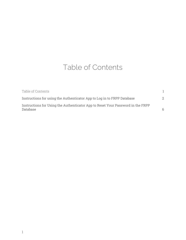# Table of Contents

<span id="page-1-0"></span>

| Table of Contents                                                                           |    |
|---------------------------------------------------------------------------------------------|----|
| Instructions for using the Authenticator App to Log in to FRPP Database                     | 2. |
| Instructions for Using the Authenticator App to Reset Your Password in the FRPP<br>Database | 6  |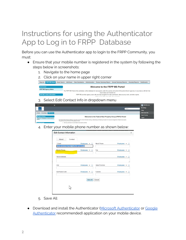# <span id="page-2-0"></span>Instructions for using the Authenticator App to Log in to FRPP Database

Before you can use the Authenticator app to login to the FRPP Community, you must:

- Ensure that your mobile number is registered in the system by following the steps below in screenshots:
	- 1. Navigate to the home page
	- 2. Click on your name in upper right corner



3. Select Edit Contact Info in dropdown menu

| <b>FRPG</b>                                |                            | $\circ$ |                                                                                                                                                                                                                                         | SNA RKarrolla              |
|--------------------------------------------|----------------------------|---------|-----------------------------------------------------------------------------------------------------------------------------------------------------------------------------------------------------------------------------------------|----------------------------|
| <b>GSA</b>                                 |                            |         | Search.                                                                                                                                                                                                                                 | <b>My Settings</b>         |
|                                            |                            |         |                                                                                                                                                                                                                                         | <b>Setup</b>               |
| Chatter                                    | Knowledge <b>FRPG Home</b> |         |                                                                                                                                                                                                                                         | <b>Edit Contact Info</b>   |
| <b>Messages and Alerts</b>                 |                            |         |                                                                                                                                                                                                                                         | <b>Help &amp; Training</b> |
| There are no Messages and Alerts events to |                            |         | Welcome to the Federal Real Property Group (FRPG) Portal!                                                                                                                                                                               | Logout                     |
| display.                                   |                            |         | The Federal Real Property Gateway is one-stop source for online information-sharing, collaborating and fostering innovation for improved management of federal real property.<br>The goal and primary functions of the gateway include: |                            |
| <b>Upcoming Events</b>                     |                            |         | · Informing members of current federal real property activities                                                                                                                                                                         |                            |

4. Enter your mobile phone number as shown below:

|                       | Contact                                   |                            |              |                |                                  |  |
|-----------------------|-------------------------------------------|----------------------------|--------------|----------------|----------------------------------|--|
| * Email               | karen abraham-burrell@fda hhs gov.invalid | Employees $\mathbf{v}$   i |              | Work Phone     | Employees $\blacktriangledown$ 1 |  |
| Mobile Phone          |                                           | Employees $\mathbf{v}$  i  |              | Fax            | Employees $\mathbf{v}$   i       |  |
| <b>Street Address</b> |                                           |                            |              |                | Employees $\mathbf{v}$   i       |  |
|                       |                                           |                            |              |                |                                  |  |
| City                  |                                           | Employees v                | $\mathbf{a}$ | State/Province | Employees $\mathbf{v}$   i       |  |
| Zip/Postal Code       |                                           | Employees $\mathbf{v}$ i   |              | Country        | Employees $\mathbf{v}$  i        |  |

- 5. Save All
- Download and install the [Authenticator](https://support.logmeininc.com/lastpass/help/microsoft-authenticator-lp030022) (Microsoft Authenticator or [Google](https://support.google.com/accounts/answer/1066447?co=GENIE.Platform%3DAndroid&hl=en) [Authenticator](https://support.google.com/accounts/answer/1066447?co=GENIE.Platform%3DAndroid&hl=en) recommended) application on your mobile device.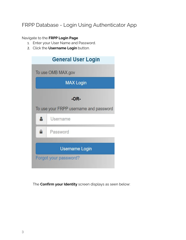## FRPP Database - Login Using Authenticator App

Navigate to the **FRPP Login Page**

- 1. Enter your User Name and Password.
- 2. Click the **Username Login** button.

|   | <b>General User Login</b>              |  |  |  |  |
|---|----------------------------------------|--|--|--|--|
|   | To use OMB MAX.gov                     |  |  |  |  |
|   | <b>MAX Login</b>                       |  |  |  |  |
|   | -OR-                                   |  |  |  |  |
|   | To use your FRPP username and password |  |  |  |  |
|   | Username                               |  |  |  |  |
| ≙ | Password                               |  |  |  |  |
|   |                                        |  |  |  |  |
|   | <b>Username Login</b>                  |  |  |  |  |
|   | Forgot your password?                  |  |  |  |  |

The **Confirm your Identity** screen displays as seen below: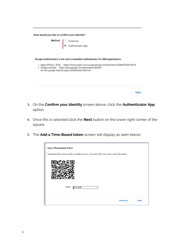| ◯ Email me<br>● Authenticator App                                                                                                                                                                                                                                                                  |
|----------------------------------------------------------------------------------------------------------------------------------------------------------------------------------------------------------------------------------------------------------------------------------------------------|
| Google Authenticator is the most compatible authenticator for GSA Applications<br>• Apple iPhone / iPad: https://itunes.apple.com/us/app/google-authenticator/id388497605?mt=8<br>· Google Android: https://play.google.com/store/apps/details?<br>id=com.google.android.apps.authenticator2&hl=en |
|                                                                                                                                                                                                                                                                                                    |

- 3. On the **Confirm your Identity** screen above, click the **Authenticator App** option.
- 4. Once this is selected click the **Next** button on the lower right corner of the square.
- 5. The **Add a Time-Based token** screen will display as seen below:

| Download the authenticator mobile device, scan the QR code, then enter the token. |  |
|-----------------------------------------------------------------------------------|--|
|                                                                                   |  |
| Token<br>510928                                                                   |  |
|                                                                                   |  |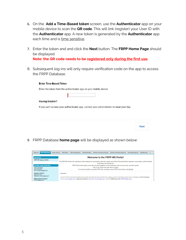- 6. On the **Add a Time-Based token** screen, use the **Authenticator** app on your mobile device to scan the **QR code**. This will link (register) your User ID with the **Authenticator** app. A new token is generated by the **Authenticator** app each time and is time sensitive.
- 7. Enter the token and and click the **Next** button. The **FRPP Home Page** should be displayed. **Note: the QR code needs to be registered only during the first use.**
- 8. Subsequent log-ins will only require verification code on the app to access the FRPP Database.

### **Enter Time-Based Token**

Enter the token from the authenticator app on your mobile device

#### **Having trouble?**

If you can't access your authenticator app, contact your administrator to reset your key.

**Next** 

9. FRPP Database **home page** will be displayed as shown below:

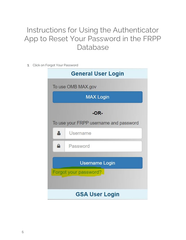# <span id="page-6-0"></span>Instructions for Using the Authenticator App to Reset Your Password in the FRPP Database

1. Click on Forgot Your Password

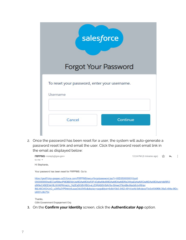| salesforce                                               |          |
|----------------------------------------------------------|----------|
| <b>Forgot Your Password</b>                              |          |
| To reset your password, enter your username.<br>Username |          |
| Cancel                                                   | Continue |

2. Once the password has been reset for a user, the system will auto-generate a password reset link and email the user. Click the password reset email link in the email as displayed below:



https://geofl1dvp-gsageo.cs33.force.com/FRPPMS/secur/forgotpassword.jsp?r=00D350000001Gqo0 05t0000000lwdECjwKMwoPMDBEMzUwMDAwMDAxR3FvEg8wMkd0MDAwMDAwMDRsQWgaDzAwNXQwMDAwMDAwbHdkRRj3 pfXNvC4SEEhkV8LXjVKlPKmaLk\_Og2EaDGBVrfBGi-eLjZQRASI5H5AVXx-tS4we3TilonBkv9lacb6jJyrRHay IMLI46C4tOrUyQ\_xJW5x2YP9rk4y6uxaqOdtJ545c&display=page&fpot=6c8d10b0-3462-4914-bcfd-0dfcdece73c0c4549f96-39a5-494e-9f2cb6831c9fc734

Thanks, GSA Government Engagement Org

3. On the **Confirm your Identity** screen, click the **Authenticator App** option.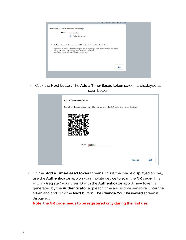| How would you like to confirm your identity?<br><b>Method</b> $\begin{bmatrix} 0 & \text{Email me} \\ 0 & \text{Authentication App} \end{bmatrix}$<br>- Apple iPhone / iPad: https://itunes.apple.com/us/app/google-authenticator/id388497605?mt=8<br>• Google Android: https://play.google.com/store/apps/details?<br>id=com.google.android.apps.authenticator2&hl=en |
|------------------------------------------------------------------------------------------------------------------------------------------------------------------------------------------------------------------------------------------------------------------------------------------------------------------------------------------------------------------------|
| Google Authenticator is the most compatible authenticator for GSA Applications                                                                                                                                                                                                                                                                                         |
|                                                                                                                                                                                                                                                                                                                                                                        |

4. Click the **Next** button. The **Add a Time-Based token** screen is displayed as seen below:

| Add a Time-based Token                                                            |
|-----------------------------------------------------------------------------------|
| Download the authenticator mobile device, scan the QR code, then enter the token. |
|                                                                                   |
| Token<br>680832                                                                   |
| <b>Previous</b><br><b>Next</b>                                                    |

5. On the **Add a Time-Based token** screen ( This is the image displayed above), use the **Authenticator** app on your mobile device to scan the **QR code**. This will link (register) your User ID with the **Authenticator** app. A new token is generated by the **Authenticator** app each time and is time sensitive. Enter the token and and click the **Next** button. The **Change Your Password** screen is displayed.

**Note: the QR code needs to be registered only during the first use.**